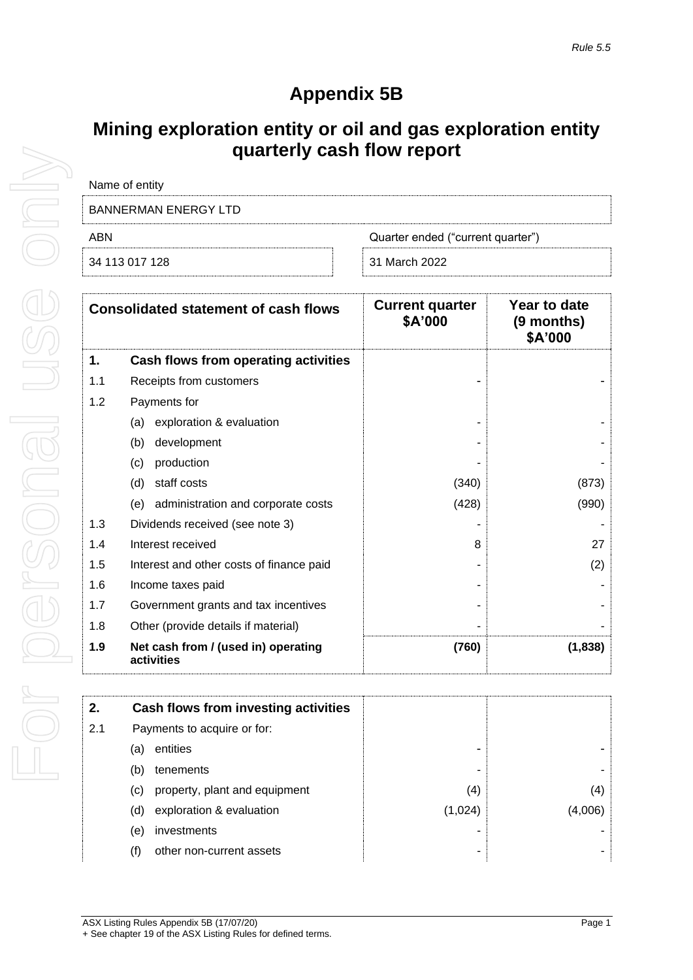## **Appendix 5B**

## **Mining exploration entity or oil and gas exploration entity quarterly cash flow report**

| Name of entity              |                                   |
|-----------------------------|-----------------------------------|
| <b>BANNERMAN ENERGY LTD</b> |                                   |
| ARN                         | Quarter ended ("current quarter") |
| 34 113 017 128              | 31 March 2022                     |

| <b>Consolidated statement of cash flows</b> |                                                   | <b>Current quarter</b><br>\$A'000 | Year to date<br>(9 months)<br>\$A'000 |
|---------------------------------------------|---------------------------------------------------|-----------------------------------|---------------------------------------|
| 1.                                          | Cash flows from operating activities              |                                   |                                       |
| 1.1                                         | Receipts from customers                           |                                   |                                       |
| 1.2                                         | Payments for                                      |                                   |                                       |
|                                             | exploration & evaluation<br>(a)                   |                                   |                                       |
|                                             | development<br>(b)                                |                                   |                                       |
|                                             | production<br>(c)                                 |                                   |                                       |
|                                             | staff costs<br>(d)                                | (340)                             | (873)                                 |
|                                             | administration and corporate costs<br>(e)         | (428)                             | (990)                                 |
| 1.3                                         | Dividends received (see note 3)                   |                                   |                                       |
| 1.4                                         | Interest received                                 | 8                                 | 27                                    |
| 1.5                                         | Interest and other costs of finance paid          |                                   | (2)                                   |
| 1.6                                         | Income taxes paid                                 |                                   |                                       |
| 1.7                                         | Government grants and tax incentives              |                                   |                                       |
| 1.8                                         | Other (provide details if material)               |                                   |                                       |
| 1.9                                         | Net cash from / (used in) operating<br>activities | (760)                             | (1,838)                               |

| 2.  | Cash flows from investing activities |         |         |
|-----|--------------------------------------|---------|---------|
| 2.1 | Payments to acquire or for:          |         |         |
|     | entities<br>(a)                      |         |         |
|     | tenements<br>(b)                     |         |         |
|     | property, plant and equipment<br>(C) | (4)     | (4)     |
|     | exploration & evaluation<br>(d)      | (1,024) | (4,006) |
|     | investments<br>(e)                   |         |         |
|     | other non-current assets             |         |         |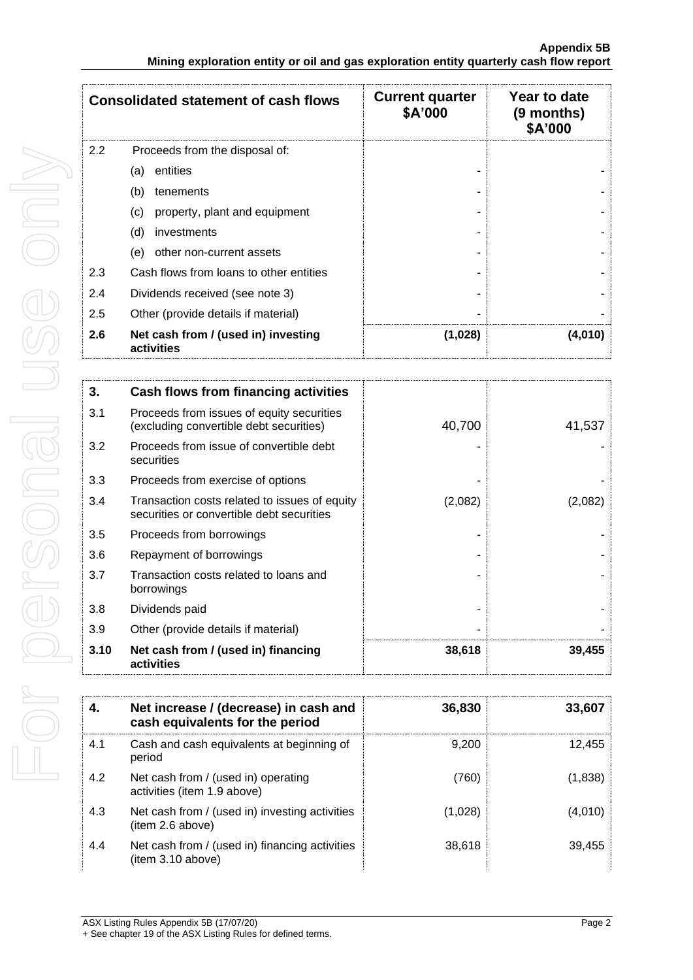| <b>Consolidated statement of cash flows</b> |                                                   | <b>Current quarter</b><br>\$A'000 | Year to date<br>(9 months)<br>\$A'000 |
|---------------------------------------------|---------------------------------------------------|-----------------------------------|---------------------------------------|
| 2.2                                         | Proceeds from the disposal of:                    |                                   |                                       |
|                                             | entities<br>(a)                                   |                                   |                                       |
|                                             | (b)<br>tenements                                  |                                   |                                       |
|                                             | (c)<br>property, plant and equipment              |                                   |                                       |
|                                             | (d)<br>investments                                |                                   |                                       |
|                                             | (e)<br>other non-current assets                   |                                   |                                       |
| 2.3                                         | Cash flows from loans to other entities           |                                   |                                       |
| 2.4                                         | Dividends received (see note 3)                   |                                   |                                       |
| 2.5                                         | Other (provide details if material)               |                                   |                                       |
| 2.6                                         | Net cash from / (used in) investing<br>activities | (1,028)                           | (4,010)                               |

| 3.   | Cash flows from financing activities                                                       |         |         |
|------|--------------------------------------------------------------------------------------------|---------|---------|
| 3.1  | Proceeds from issues of equity securities<br>(excluding convertible debt securities)       | 40,700  | 41,537  |
| 3.2  | Proceeds from issue of convertible debt<br>securities                                      |         |         |
| 3.3  | Proceeds from exercise of options                                                          |         |         |
| 3.4  | Transaction costs related to issues of equity<br>securities or convertible debt securities | (2,082) | (2,082) |
| 3.5  | Proceeds from borrowings                                                                   |         |         |
| 3.6  | Repayment of borrowings                                                                    |         |         |
| 3.7  | Transaction costs related to loans and<br>borrowings                                       |         |         |
| 3.8  | Dividends paid                                                                             |         |         |
| 3.9  | Other (provide details if material)                                                        |         |         |
| 3.10 | Net cash from / (used in) financing<br>activities                                          | 38,618  | 39,455  |

| 4.  | Net increase / (decrease) in cash and<br>cash equivalents for the period | 36,830  | 33,607  |
|-----|--------------------------------------------------------------------------|---------|---------|
| 4.1 | Cash and cash equivalents at beginning of<br>period                      | 9.200   | 12,455  |
| 4.2 | Net cash from / (used in) operating<br>activities (item 1.9 above)       | (760)   | (1,838) |
| 4.3 | Net cash from / (used in) investing activities<br>(item 2.6 above)       | (1,028) | (4,010) |
| 4.4 | Net cash from / (used in) financing activities<br>(item 3.10 above)      | 38,618  | 39,455  |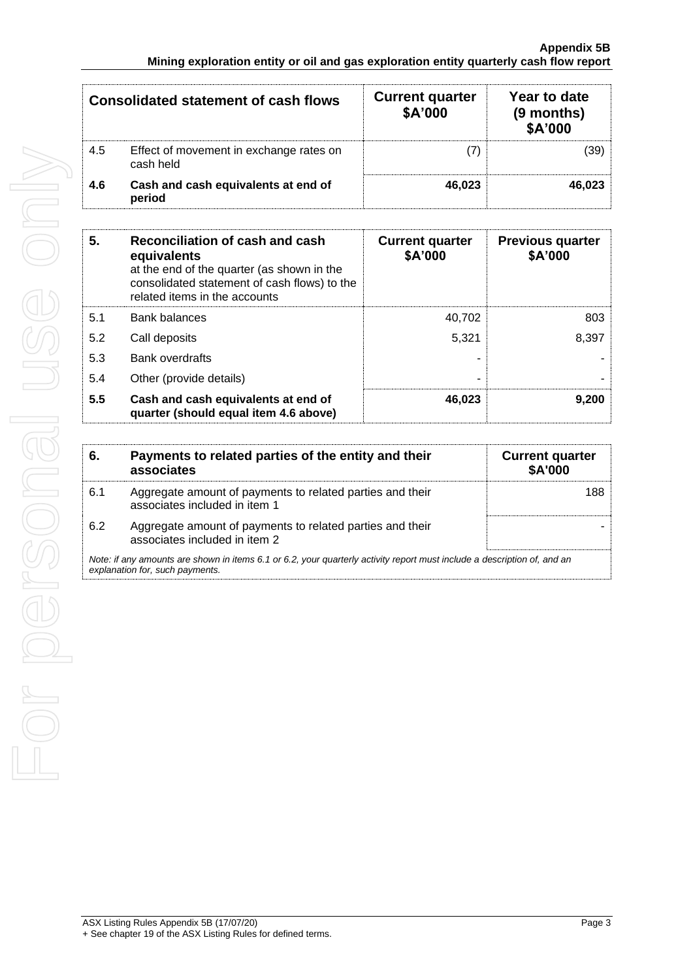|     | <b>Consolidated statement of cash flows</b>          | <b>Current quarter</b><br>\$A'000 | Year to date<br>(9 months)<br>\$A'000 |
|-----|------------------------------------------------------|-----------------------------------|---------------------------------------|
| 4.5 | Effect of movement in exchange rates on<br>cash held |                                   | (39)                                  |
| 4.6 | Cash and cash equivalents at end of<br>period        | 46.023                            | 46.023                                |

| 5.  | Reconciliation of cash and cash<br>equivalents<br>at the end of the quarter (as shown in the<br>consolidated statement of cash flows) to the<br>related items in the accounts | <b>Current quarter</b><br>\$A'000 | <b>Previous quarter</b><br>\$A'000 |
|-----|-------------------------------------------------------------------------------------------------------------------------------------------------------------------------------|-----------------------------------|------------------------------------|
| 5.1 | Bank balances                                                                                                                                                                 | 40.702                            | 803                                |
| 5.2 | Call deposits                                                                                                                                                                 | 5.321                             | 8,397                              |
| 5.3 | Bank overdrafts                                                                                                                                                               |                                   |                                    |
| 5.4 | Other (provide details)                                                                                                                                                       |                                   |                                    |
| 5.5 | Cash and cash equivalents at end of<br>quarter (should equal item 4.6 above)                                                                                                  | 46.023                            | 9.200                              |

| 6.                                                                                                                                                          | Payments to related parties of the entity and their<br>associates                          | <b>Current quarter</b><br><b>\$A'000</b> |
|-------------------------------------------------------------------------------------------------------------------------------------------------------------|--------------------------------------------------------------------------------------------|------------------------------------------|
| 6.1                                                                                                                                                         | Aggregate amount of payments to related parties and their<br>associates included in item 1 | 188                                      |
| 6.2                                                                                                                                                         | Aggregate amount of payments to related parties and their<br>associates included in item 2 |                                          |
| Note: if any amounts are shown in items 6.1 or 6.2, your quarterly activity report must include a description of, and an<br>explanation for, such payments. |                                                                                            |                                          |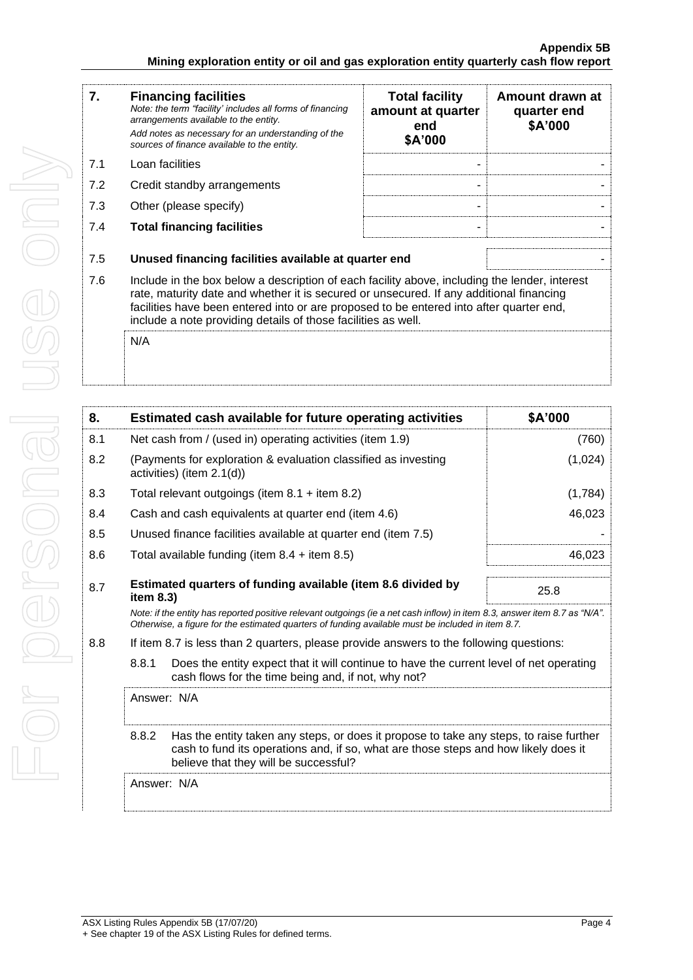| 7.  | <b>Financing facilities</b><br>Note: the term "facility' includes all forms of financing<br>arrangements available to the entity.<br>Add notes as necessary for an understanding of the<br>sources of finance available to the entity.                                                                                                               | <b>Total facility</b><br>amount at quarter<br>end<br>\$A'000 | Amount drawn at<br>quarter end<br>\$A'000 |
|-----|------------------------------------------------------------------------------------------------------------------------------------------------------------------------------------------------------------------------------------------------------------------------------------------------------------------------------------------------------|--------------------------------------------------------------|-------------------------------------------|
| 7.1 | Loan facilities                                                                                                                                                                                                                                                                                                                                      |                                                              |                                           |
| 7.2 | Credit standby arrangements                                                                                                                                                                                                                                                                                                                          |                                                              |                                           |
| 7.3 | Other (please specify)                                                                                                                                                                                                                                                                                                                               |                                                              |                                           |
| 7.4 | <b>Total financing facilities</b>                                                                                                                                                                                                                                                                                                                    |                                                              |                                           |
|     |                                                                                                                                                                                                                                                                                                                                                      |                                                              |                                           |
| 7.5 | Unused financing facilities available at quarter end                                                                                                                                                                                                                                                                                                 |                                                              |                                           |
| 7.6 | Include in the box below a description of each facility above, including the lender, interest<br>rate, maturity date and whether it is secured or unsecured. If any additional financing<br>facilities have been entered into or are proposed to be entered into after quarter end,<br>include a note providing details of those facilities as well. |                                                              |                                           |
|     | N/A                                                                                                                                                                                                                                                                                                                                                  |                                                              |                                           |

| 8.                                                                                                                                                                                                                              |                                                           | Estimated cash available for future operating activities                                                                                                                                                                        | \$A'000 |
|---------------------------------------------------------------------------------------------------------------------------------------------------------------------------------------------------------------------------------|-----------------------------------------------------------|---------------------------------------------------------------------------------------------------------------------------------------------------------------------------------------------------------------------------------|---------|
| 8.1                                                                                                                                                                                                                             | Net cash from / (used in) operating activities (item 1.9) | (760)                                                                                                                                                                                                                           |         |
| 8.2                                                                                                                                                                                                                             | activities) (item 2.1(d))                                 | (Payments for exploration & evaluation classified as investing                                                                                                                                                                  | (1,024) |
| 8.3                                                                                                                                                                                                                             | Total relevant outgoings (item $8.1 +$ item $8.2$ )       |                                                                                                                                                                                                                                 | (1,784) |
| 8.4                                                                                                                                                                                                                             |                                                           | Cash and cash equivalents at quarter end (item 4.6)                                                                                                                                                                             | 46,023  |
| 8.5                                                                                                                                                                                                                             |                                                           | Unused finance facilities available at quarter end (item 7.5)                                                                                                                                                                   |         |
| 8.6                                                                                                                                                                                                                             | Total available funding (item $8.4 +$ item $8.5$ )        |                                                                                                                                                                                                                                 | 46,023  |
| 8.7                                                                                                                                                                                                                             | item $8.3$ )                                              | Estimated quarters of funding available (item 8.6 divided by                                                                                                                                                                    | 25.8    |
|                                                                                                                                                                                                                                 |                                                           | Note: if the entity has reported positive relevant outgoings (ie a net cash inflow) in item 8.3, answer item 8.7 as "N/A".<br>Otherwise, a figure for the estimated guarters of funding available must be included in item 8.7. |         |
| 8.8                                                                                                                                                                                                                             |                                                           | If item 8.7 is less than 2 quarters, please provide answers to the following questions:                                                                                                                                         |         |
| 8.8.1<br>Does the entity expect that it will continue to have the current level of net operating<br>cash flows for the time being and, if not, why not?                                                                         |                                                           |                                                                                                                                                                                                                                 |         |
| Answer: N/A                                                                                                                                                                                                                     |                                                           |                                                                                                                                                                                                                                 |         |
| 8.8.2<br>Has the entity taken any steps, or does it propose to take any steps, to raise further<br>cash to fund its operations and, if so, what are those steps and how likely does it<br>believe that they will be successful? |                                                           |                                                                                                                                                                                                                                 |         |
|                                                                                                                                                                                                                                 | Answer: N/A                                               |                                                                                                                                                                                                                                 |         |